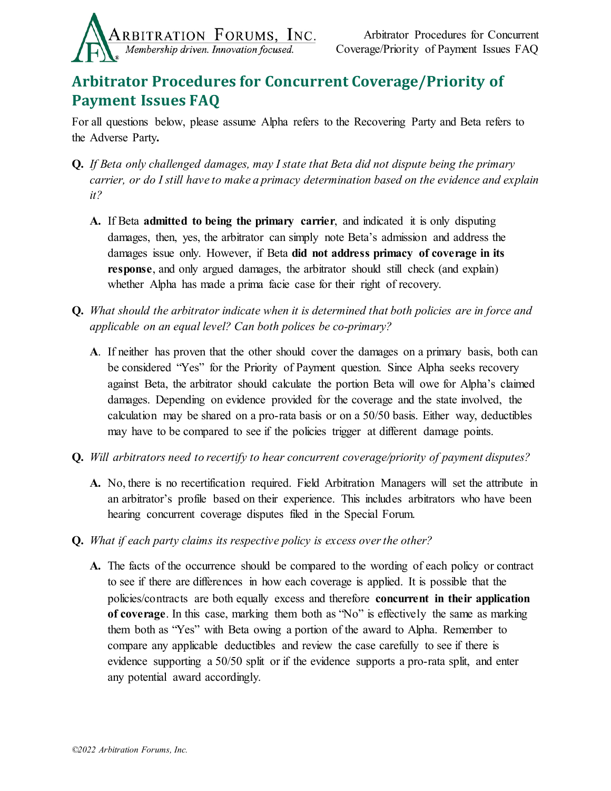

## **Arbitrator Procedures for Concurrent Coverage/Priority of Payment Issues FAQ**

For all questions below, please assume Alpha refers to the Recovering Party and Beta refers to the Adverse Party**.** 

- **Q.** *If Beta only challenged damages, may I state that Beta did not dispute being the primary carrier, or do I still have to make a primacy determination based on the evidence and explain it?*
	- **A.** If Beta **admitted to being the primary carrier**, and indicated it is only disputing damages, then, yes, the arbitrator can simply note Beta's admission and address the damages issue only. However, if Beta **did not address primacy of coverage in its response**, and only argued damages, the arbitrator should still check (and explain) whether Alpha has made a prima facie case for their right of recovery.
- **Q.** *What should the arbitrator indicate when it is determined that both policies are in force and applicable on an equal level? Can both polices be co-primary?* 
	- **A**. If neither has proven that the other should cover the damages on a primary basis, both can be considered "Yes" for the Priority of Payment question. Since Alpha seeks recovery against Beta, the arbitrator should calculate the portion Beta will owe for Alpha's claimed damages. Depending on evidence provided for the coverage and the state involved, the calculation may be shared on a pro-rata basis or on a 50/50 basis. Either way, deductibles may have to be compared to see if the policies trigger at different damage points.
- **Q.** *Will arbitrators need to recertify to hear concurrent coverage/priority of payment disputes?*
	- **A.** No, there is no recertification required. Field Arbitration Managers will set the attribute in an arbitrator's profile based on their experience. This includes arbitrators who have been hearing concurrent coverage disputes filed in the Special Forum.
- **Q.** *What if each party claims its respective policy is excess over the other?*
	- **A.** The facts of the occurrence should be compared to the wording of each policy or contract to see if there are differences in how each coverage is applied. It is possible that the policies/contracts are both equally excess and therefore **concurrent in their application of coverage**. In this case, marking them both as "No" is effectively the same as marking them both as "Yes" with Beta owing a portion of the award to Alpha. Remember to compare any applicable deductibles and review the case carefully to see if there is evidence supporting a 50/50 split or if the evidence supports a pro-rata split, and enter any potential award accordingly.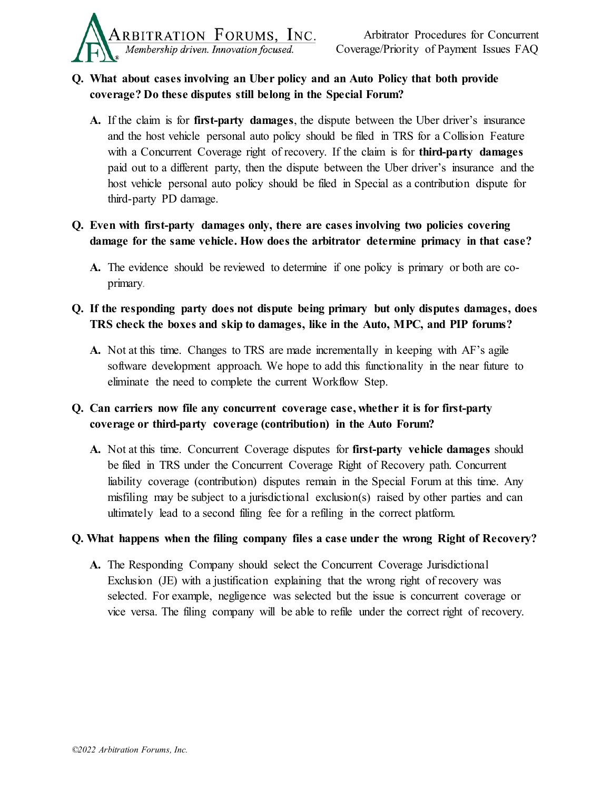

## **Q. What about cases involving an Uber policy and an Auto Policy that both provide coverage? Do these disputes still belong in the Special Forum?**

- **A.** If the claim is for **first-party damages**, the dispute between the Uber driver's insurance and the host vehicle personal auto policy should be filed in TRS for a Collision Feature with a Concurrent Coverage right of recovery. If the claim is for **third-party damages** paid out to a different party, then the dispute between the Uber driver's insurance and the host vehicle personal auto policy should be filed in Special as a contribution dispute for third-party PD damage.
- **Q. Even with first-party damages only, there are cases involving two policies covering damage for the same vehicle. How does the arbitrator determine primacy in that case?** 
	- **A.** The evidence should be reviewed to determine if one policy is primary or both are coprimary.
- **Q. If the responding party does not dispute being primary but only disputes damages, does TRS check the boxes and skip to damages, like in the Auto, MPC, and PIP forums?**
	- **A.** Not at this time. Changes to TRS are made incrementally in keeping with AF's agile software development approach. We hope to add this functionality in the near future to eliminate the need to complete the current Workflow Step.
- **Q. Can carriers now file any concurrent coverage case, whether it is for first-party coverage or third-party coverage (contribution) in the Auto Forum?** 
	- **A.** Not at this time. Concurrent Coverage disputes for **first-party vehicle damages** should be filed in TRS under the Concurrent Coverage Right of Recovery path. Concurrent liability coverage (contribution) disputes remain in the Special Forum at this time. Any misfiling may be subject to a jurisdictional exclusion(s) raised by other parties and can ultimately lead to a second filing fee for a refiling in the correct platform.

## **Q. What happens when the filing company files a case under the wrong Right of Recovery?**

**A.** The Responding Company should select the Concurrent Coverage Jurisdictional Exclusion (JE) with a justification explaining that the wrong right of recovery was selected. For example, negligence was selected but the issue is concurrent coverage or vice versa. The filing company will be able to refile under the correct right of recovery.